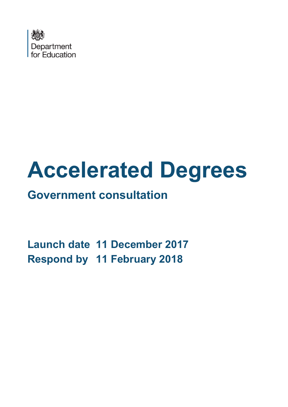

# **Accelerated Degrees**

# **Government consultation**

**Launch date 11 December 2017 Respond by 11 February 2018**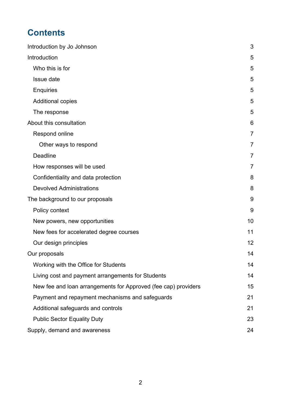# **Contents**

| Introduction by Jo Johnson                                     | 3              |
|----------------------------------------------------------------|----------------|
| Introduction                                                   | 5              |
| Who this is for                                                | 5              |
| Issue date                                                     | 5              |
| <b>Enquiries</b>                                               | 5              |
| <b>Additional copies</b>                                       | 5              |
| The response                                                   | 5              |
| About this consultation                                        | 6              |
| Respond online                                                 | 7              |
| Other ways to respond                                          | $\overline{7}$ |
| <b>Deadline</b>                                                | 7              |
| How responses will be used                                     | $\overline{7}$ |
| Confidentiality and data protection                            | 8              |
| <b>Devolved Administrations</b>                                | 8              |
| The background to our proposals                                | 9              |
| Policy context                                                 | 9              |
| New powers, new opportunities                                  | 10             |
| New fees for accelerated degree courses                        | 11             |
| Our design principles                                          | 12             |
| Our proposals                                                  | 14             |
| Working with the Office for Students                           | 14             |
| Living cost and payment arrangements for Students              | 14             |
| New fee and loan arrangements for Approved (fee cap) providers | 15             |
| Payment and repayment mechanisms and safeguards                | 21             |
| Additional safeguards and controls                             | 21             |
| <b>Public Sector Equality Duty</b>                             | 23             |
| Supply, demand and awareness                                   | 24             |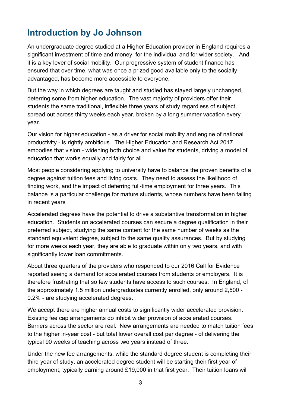# <span id="page-2-0"></span>**Introduction by Jo Johnson**

An undergraduate degree studied at a Higher Education provider in England requires a significant investment of time and money, for the individual and for wider society. And it is a key lever of social mobility. Our progressive system of student finance has ensured that over time, what was once a prized good available only to the socially advantaged, has become more accessible to everyone.

But the way in which degrees are taught and studied has stayed largely unchanged, deterring some from higher education. The vast majority of providers offer their students the same traditional, inflexible three years of study regardless of subject, spread out across thirty weeks each year, broken by a long summer vacation every year.

Our vision for higher education - as a driver for social mobility and engine of national productivity - is rightly ambitious. The Higher Education and Research Act 2017 embodies that vision - widening both choice and value for students, driving a model of education that works equally and fairly for all.

Most people considering applying to university have to balance the proven benefits of a degree against tuition fees and living costs. They need to assess the likelihood of finding work, and the impact of deferring full-time employment for three years. This balance is a particular challenge for mature students, whose numbers have been falling in recent years

Accelerated degrees have the potential to drive a substantive transformation in higher education. Students on accelerated courses can secure a degree qualification in their preferred subject, studying the same content for the same number of weeks as the standard equivalent degree, subject to the same quality assurances. But by studying for more weeks each year, they are able to graduate within only two years, and with significantly lower loan commitments.

About three quarters of the providers who responded to our 2016 Call for Evidence reported seeing a demand for accelerated courses from students or employers. It is therefore frustrating that so few students have access to such courses. In England, of the approximately 1.5 million undergraduates currently enrolled, only around 2,500 - 0.2% - are studying accelerated degrees.

We accept there are higher annual costs to significantly wider accelerated provision. Existing fee cap arrangements do inhibit wider provision of accelerated courses. Barriers across the sector are real. New arrangements are needed to match tuition fees to the higher in-year cost - but total lower overall cost per degree - of delivering the typical 90 weeks of teaching across two years instead of three.

Under the new fee arrangements, while the standard degree student is completing their third year of study, an accelerated degree student will be starting their first year of employment, typically earning around £19,000 in that first year. Their tuition loans will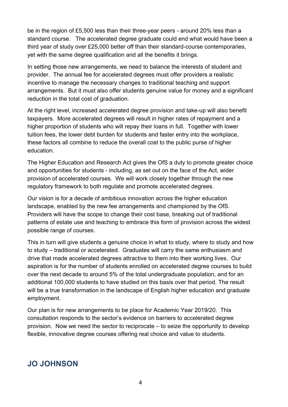be in the region of £5,500 less than their three-year peers - around 20% less than a standard course. The accelerated degree graduate could end what would have been a third year of study over £25,000 better off than their standard-course contemporaries, yet with the same degree qualification and all the benefits it brings.

In setting those new arrangements, we need to balance the interests of student and provider. The annual fee for accelerated degrees must offer providers a realistic incentive to manage the necessary changes to traditional teaching and support arrangements. But it must also offer students genuine value for money and a significant reduction in the total cost of graduation.

At the right level, increased accelerated degree provision and take-up will also benefit taxpayers. More accelerated degrees will result in higher rates of repayment and a higher proportion of students who will repay their loans in full. Together with lower tuition fees, the lower debt burden for students and faster entry into the workplace, these factors all combine to reduce the overall cost to the public purse of higher education.

The Higher Education and Research Act gives the OfS a duty to promote greater choice and opportunities for students - including, as set out on the face of the Act, wider provision of accelerated courses. We will work closely together through the new regulatory framework to both regulate and promote accelerated degrees.

Our vision is for a decade of ambitious innovation across the higher education landscape, enabled by the new fee arrangements and championed by the OfS. Providers will have the scope to change their cost base, breaking out of traditional patterns of estate use and teaching to embrace this form of provision across the widest possible range of courses.

This in turn will give students a genuine choice in what to study, where to study and how to study – traditional or accelerated. Graduates will carry the same enthusiasm and drive that made accelerated degrees attractive to them into their working lives. Our aspiration is for the number of students enrolled on accelerated degree courses to build over the next decade to around 5% of the total undergraduate population, and for an additional 100,000 students to have studied on this basis over that period. The result will be a true transformation in the landscape of English higher education and graduate employment.

Our plan is for new arrangements to be place for Academic Year 2019/20. This consultation responds to the sector's evidence on barriers to accelerated degree provision. Now we need the sector to reciprocate – to seize the opportunity to develop flexible, innovative degree courses offering real choice and value to students.

## **JO JOHNSON**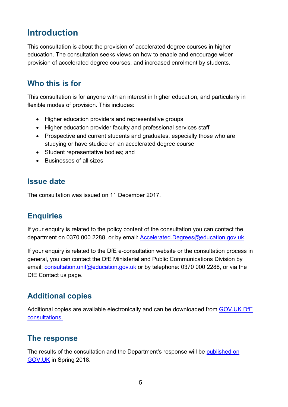# <span id="page-4-0"></span>**Introduction**

This consultation is about the provision of accelerated degree courses in higher education. The consultation seeks views on how to enable and encourage wider provision of accelerated degree courses, and increased enrolment by students.

## <span id="page-4-1"></span>**Who this is for**

This consultation is for anyone with an interest in higher education, and particularly in flexible modes of provision. This includes:

- Higher education providers and representative groups
- Higher education provider faculty and professional services staff
- Prospective and current students and graduates, especially those who are studying or have studied on an accelerated degree course
- Student representative bodies; and
- Businesses of all sizes

#### <span id="page-4-2"></span>**Issue date**

The consultation was issued on 11 December 2017.

#### <span id="page-4-3"></span>**Enquiries**

If your enquiry is related to the policy content of the consultation you can contact the department on 0370 000 2288, or by email: [Accelerated.Degrees@education.gov.uk](mailto:Accelerated.Degrees@education.gov.uk)

If your enquiry is related to the DfE e-consultation website or the consultation process in general, you can contact the DfE Ministerial and Public Communications Division by email: [consultation.unit@education.gov.uk](mailto:consultation.unit@education.gov.uk) or by telephone: 0370 000 2288, or via the DfE Contact us page.

## <span id="page-4-4"></span>**Additional copies**

Additional copies are available electronically and can be downloaded from [GOV.UK DfE](https://www.gov.uk/government/publications?keywords=&publication_filter_option=consultations&topics%5B%5D=all&departments%5B%5D=department-for-education&official_document_status=all&world_locations%5B%5D=all&from_date=&to_date=&commit=Refresh+results)  [consultations.](https://www.gov.uk/government/publications?keywords=&publication_filter_option=consultations&topics%5B%5D=all&departments%5B%5D=department-for-education&official_document_status=all&world_locations%5B%5D=all&from_date=&to_date=&commit=Refresh+results)

#### <span id="page-4-5"></span>**The response**

The results of the consultation and the Department's response will be [published on](https://www.gov.uk/government/publications?departments%5B%5D=department-for-education&publication_filter_option=consultations)  [GOV.UK](https://www.gov.uk/government/publications?departments%5B%5D=department-for-education&publication_filter_option=consultations) in Spring 2018.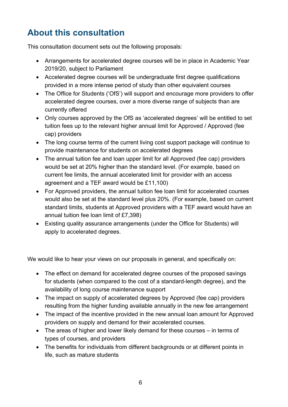# <span id="page-5-0"></span>**About this consultation**

This consultation document sets out the following proposals:

- Arrangements for accelerated degree courses will be in place in Academic Year 2019/20, subject to Parliament
- Accelerated degree courses will be undergraduate first degree qualifications provided in a more intense period of study than other equivalent courses
- The Office for Students ('OfS') will support and encourage more providers to offer accelerated degree courses, over a more diverse range of subjects than are currently offered
- Only courses approved by the OfS as 'accelerated degrees' will be entitled to set tuition fees up to the relevant higher annual limit for Approved / Approved (fee cap) providers
- The long course terms of the current living cost support package will continue to provide maintenance for students on accelerated degrees
- The annual tuition fee and loan upper limit for all Approved (fee cap) providers would be set at 20% higher than the standard level. (For example, based on current fee limits, the annual accelerated limit for provider with an access agreement and a TEF award would be £11,100)
- For Approved providers, the annual tuition fee loan limit for accelerated courses would also be set at the standard level plus 20%. (For example, based on current standard limits, students at Approved providers with a TEF award would have an annual tuition fee loan limit of £7,398)
- Existing quality assurance arrangements (under the Office for Students) will apply to accelerated degrees.

We would like to hear your views on our proposals in general, and specifically on:

- The effect on demand for accelerated degree courses of the proposed savings for students (when compared to the cost of a standard-length degree), and the availability of long course maintenance support
- The impact on supply of accelerated degrees by Approved (fee cap) providers resulting from the higher funding available annually in the new fee arrangement
- The impact of the incentive provided in the new annual loan amount for Approved providers on supply and demand for their accelerated courses.
- The areas of higher and lower likely demand for these courses in terms of types of courses, and providers
- The benefits for individuals from different backgrounds or at different points in life, such as mature students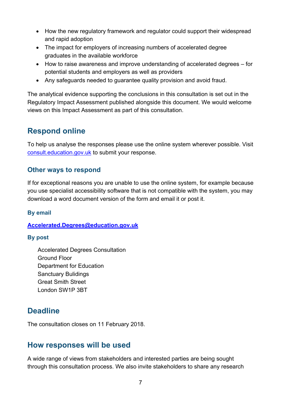- How the new regulatory framework and regulator could support their widespread and rapid adoption
- The impact for employers of increasing numbers of accelerated degree graduates in the available workforce
- How to raise awareness and improve understanding of accelerated degrees for potential students and employers as well as providers
- Any safeguards needed to guarantee quality provision and avoid fraud.

The analytical evidence supporting the conclusions in this consultation is set out in the Regulatory Impact Assessment published alongside this document. We would welcome views on this Impact Assessment as part of this consultation.

## <span id="page-6-0"></span>**Respond online**

To help us analyse the responses please use the online system wherever possible. Visit [consult.education.gov.uk](https://consult.education.gov.uk/) to submit your response.

#### <span id="page-6-1"></span>**Other ways to respond**

If for exceptional reasons you are unable to use the online system, for example because you use specialist accessibility software that is not compatible with the system, you may download a word document version of the form and email it or post it.

#### **By email**

#### **[Accelerated.Degrees@education.gov.uk](mailto:Accelerated.Degrees@education.gov.uk)**

#### **By post**

Accelerated Degrees Consultation Ground Floor Department for Education Sanctuary Bulidings Great Smith Street London SW1P 3BT

## <span id="page-6-2"></span>**Deadline**

The consultation closes on 11 February 2018.

#### <span id="page-6-3"></span>**How responses will be used**

A wide range of views from stakeholders and interested parties are being sought through this consultation process. We also invite stakeholders to share any research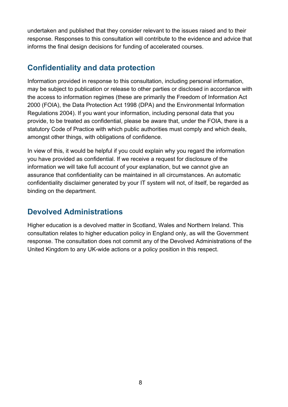undertaken and published that they consider relevant to the issues raised and to their response. Responses to this consultation will contribute to the evidence and advice that informs the final design decisions for funding of accelerated courses.

## <span id="page-7-0"></span>**Confidentiality and data protection**

Information provided in response to this consultation, including personal information, may be subject to publication or release to other parties or disclosed in accordance with the access to information regimes (these are primarily the Freedom of Information Act 2000 (FOIA), the Data Protection Act 1998 (DPA) and the Environmental Information Regulations 2004). If you want your information, including personal data that you provide, to be treated as confidential, please be aware that, under the FOIA, there is a statutory Code of Practice with which public authorities must comply and which deals, amongst other things, with obligations of confidence.

In view of this, it would be helpful if you could explain why you regard the information you have provided as confidential. If we receive a request for disclosure of the information we will take full account of your explanation, but we cannot give an assurance that confidentiality can be maintained in all circumstances. An automatic confidentiality disclaimer generated by your IT system will not, of itself, be regarded as binding on the department.

## <span id="page-7-1"></span>**Devolved Administrations**

Higher education is a devolved matter in Scotland, Wales and Northern Ireland. This consultation relates to higher education policy in England only, as will the Government response. The consultation does not commit any of the Devolved Administrations of the United Kingdom to any UK-wide actions or a policy position in this respect.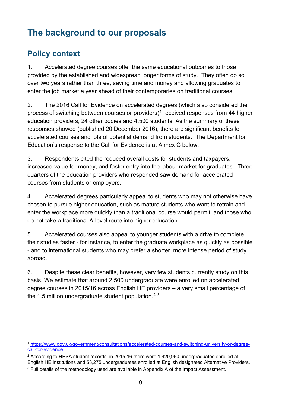# <span id="page-8-0"></span>**The background to our proposals**

## <span id="page-8-1"></span>**Policy context**

 $\overline{a}$ 

1. Accelerated degree courses offer the same educational outcomes to those provided by the established and widespread longer forms of study. They often do so over two years rather than three, saving time and money and allowing graduates to enter the job market a year ahead of their contemporaries on traditional courses.

2. The 2016 Call for Evidence on accelerated degrees (which also considered the process of switching between courses or providers)<sup>[1](#page-8-2)</sup> received responses from 44 higher education providers, 24 other bodies and 4,500 students. As the summary of these responses showed (published 20 December 2016), there are significant benefits for accelerated courses and lots of potential demand from students. The Department for Education's response to the Call for Evidence is at Annex C below.

3. Respondents cited the reduced overall costs for students and taxpayers, increased value for money, and faster entry into the labour market for graduates. Three quarters of the education providers who responded saw demand for accelerated courses from students or employers.

4. Accelerated degrees particularly appeal to students who may not otherwise have chosen to pursue higher education, such as mature students who want to retrain and enter the workplace more quickly than a traditional course would permit, and those who do not take a traditional A-level route into higher education.

5. Accelerated courses also appeal to younger students with a drive to complete their studies faster - for instance, to enter the graduate workplace as quickly as possible - and to international students who may prefer a shorter, more intense period of study abroad.

6. Despite these clear benefits, however, very few students currently study on this basis. We estimate that around 2,500 undergraduate were enrolled on accelerated degree courses in 2015/16 across English HE providers – a very small percentage of the 1.5 million undergraduate student population.<sup>[2](#page-8-3) [3](#page-8-4)</sup>

<span id="page-8-2"></span><sup>1</sup> [https://www.gov.uk/government/consultations/accelerated-courses-and-switching-university-or-degree](https://www.gov.uk/government/consultations/accelerated-courses-and-switching-university-or-degree-call-for-evidence)[call-for-evidence](https://www.gov.uk/government/consultations/accelerated-courses-and-switching-university-or-degree-call-for-evidence)

<span id="page-8-3"></span> $2$  According to HESA student records, in 2015-16 there were 1,420,960 undergraduates enrolled at English HE Institutions and 53,275 undergraduates enrolled at English designated Alternative Providers.

<span id="page-8-4"></span><sup>3</sup> Full details of the methodology used are available in Appendix A of the Impact Assessment.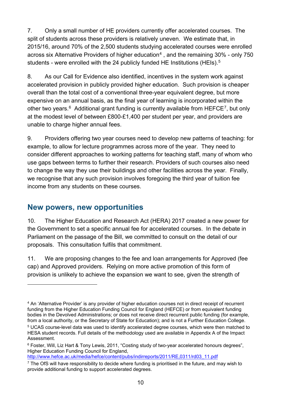7. Only a small number of HE providers currently offer accelerated courses. The split of students across these providers is relatively uneven. We estimate that, in 2015/16, around 70% of the 2,500 students studying accelerated courses were enrolled across six Alternative Providers of higher education<sup>[4](#page-9-1)</sup>, and the remaining  $30\%$  - only 750 students - were enrolled with the 24 publicly funded HE Institutions (HEIs).<sup>5</sup>

8. As our Call for Evidence also identified, incentives in the system work against accelerated provision in publicly provided higher education. Such provision is cheaper overall than the total cost of a conventional three-year equivalent degree, but more expensive on an annual basis, as the final year of learning is incorporated within the other two vears. $6$  Additional grant funding is currently available from HEFCE<sup>[7](#page-9-4)</sup>, but only at the modest level of between £800-£1,400 per student per year, and providers are unable to charge higher annual fees.

9. Providers offering two year courses need to develop new patterns of teaching: for example, to allow for lecture programmes across more of the year. They need to consider different approaches to working patterns for teaching staff, many of whom who use gaps between terms to further their research. Providers of such courses also need to change the way they use their buildings and other facilities across the year. Finally, we recognise that any such provision involves foregoing the third year of tuition fee income from any students on these courses.

#### <span id="page-9-0"></span>**New powers, new opportunities**

 $\overline{a}$ 

10. The Higher Education and Research Act (HERA) 2017 created a new power for the Government to set a specific annual fee for accelerated courses. In the debate in Parliament on the passage of the Bill, we committed to consult on the detail of our proposals. This consultation fulfils that commitment.

11. We are proposing changes to the fee and loan arrangements for Approved (fee cap) and Approved providers. Relying on more active promotion of this form of provision is unlikely to achieve the expansion we want to see, given the strength of

<span id="page-9-1"></span><sup>4</sup> An 'Alternative Provider' is any provider of higher education courses not in direct receipt of recurrent funding from the Higher Education Funding Council for England (HEFCE) or from equivalent funding bodies in the Devolved Administrations; or does not receive direct recurrent public funding (for example, from a local authority, or the Secretary of State for Education); and is not a Further Education College. <sup>5</sup> UCAS course-level data was used to identify accelerated degree courses, which were then matched to

<span id="page-9-2"></span>HESA student records. Full details of the methodology used are available in Appendix A of the Impact Assessment.

<span id="page-9-3"></span><sup>6</sup> Foster, Will, Liz Hart & Tony Lewis, 2011, "Costing study of two-year accelerated honours degrees", Higher Education Funding Council for England,

[http://www.hefce.ac.uk/media/hefce/content/pubs/indirreports/2011/RE,0311/rd03\\_11.pdf](http://www.hefce.ac.uk/media/hefce/content/pubs/indirreports/2011/RE,0311/rd03_11.pdf) 

<span id="page-9-4"></span> $7$  The OfS will have responsibility to decide where funding is prioritised in the future, and may wish to provide additional funding to support accelerated degrees.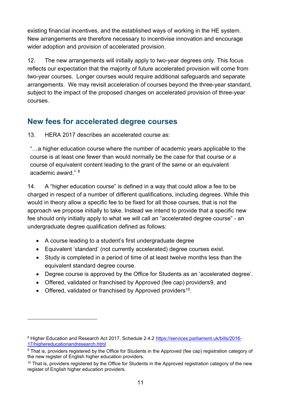existing financial incentives, and the established ways of working in the HE system. New arrangements are therefore necessary to incentivise innovation and encourage wider adoption and provision of accelerated provision.

12. The new arrangements will initially apply to two-year degrees only. This focus reflects our expectation that the majority of future accelerated provision will come from two-year courses. Longer courses would require additional safeguards and separate arrangements. We may revisit acceleration of courses beyond the three-year standard, subject to the impact of the proposed changes on accelerated provision of three-year courses.

## <span id="page-10-0"></span>**New fees for accelerated degree courses**

13. HERA 2017 describes an accelerated course as:

"…a higher education course where the number of academic years applicable to the course is at least one fewer than would normally be the case for that course or a course of equivalent content leading to the grant of the same or an equivalent academic award." [8](#page-10-1)

14. A "higher education course" is defined in a way that could allow a fee to be charged in respect of a number of different qualifications, including degrees. While this would in theory allow a specific fee to be fixed for all those courses, that is not the approach we propose initially to take. Instead we intend to provide that a specific new fee should only initially apply to what we will call an "accelerated degree course" - an undergraduate degree qualification defined as follows:

- A course leading to a student's first undergraduate degree
- Equivalent 'standard' (not currently accelerated) degree courses exist.
- Study is completed in a period of time of at least twelve months less than the equivalent standard degree course.
- Degree course is approved by the Office for Students as an 'accelerated degree'.
- Offered, validated or franchised by Approved (fee cap) providers[9](#page-10-2), and
- Offered, validated or franchised by Approved providers<sup>10</sup>.

 $\overline{a}$ 

<span id="page-10-1"></span><sup>8</sup> Higher Education and Research Act 2017, Schedule 2.4.2 [https://services.parliament.uk/bills/2016-](https://services.parliament.uk/bills/2016-17/highereducationandresearch.html) [17/highereducationandresearch.html](https://services.parliament.uk/bills/2016-17/highereducationandresearch.html)

<span id="page-10-2"></span><sup>&</sup>lt;sup>9</sup> That is, providers registered by the Office for Students in the Approved (fee cap) registration category of the new register of English higher education providers.

<span id="page-10-3"></span><sup>&</sup>lt;sup>10</sup> That is, providers registered by the Office for Students in the Approved registration category of the new register of English higher education providers.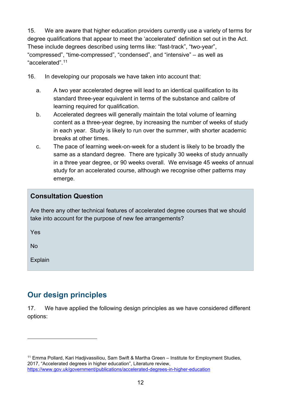15. We are aware that higher education providers currently use a variety of terms for degree qualifications that appear to meet the 'accelerated' definition set out in the Act. These include degrees described using terms like: "fast-track", "two-year", "compressed", "time-compressed", "condensed", and "intensive" – as well as "accelerated".[11](#page-11-1)

<span id="page-11-2"></span>16. In developing our proposals we have taken into account that:

- a. A two year accelerated degree will lead to an identical qualification to its standard three-year equivalent in terms of the substance and calibre of learning required for qualification.
- b. Accelerated degrees will generally maintain the total volume of learning content as a three-year degree, by increasing the number of weeks of study in each year. Study is likely to run over the summer, with shorter academic breaks at other times.
- c. The pace of learning week-on-week for a student is likely to be broadly the same as a standard degree. There are typically 30 weeks of study annually in a three year degree, or 90 weeks overall. We envisage 45 weeks of annual study for an accelerated course, although we recognise other patterns may emerge.

#### **Consultation Question**

Are there any other technical features of accelerated degree courses that we should take into account for the purpose of new fee arrangements?

Yes

No

 $\overline{a}$ 

Explain

## <span id="page-11-0"></span>**Our design principles**

17. We have applied the following design principles as we have considered different options:

<span id="page-11-1"></span><sup>&</sup>lt;sup>11</sup> Emma Pollard, Kari Hadjivassiliou, Sam Swift & Martha Green – Institute for Employment Studies, 2017, "Accelerated degrees in higher education", Literature review, <https://www.gov.uk/government/publications/accelerated-degrees-in-higher-education>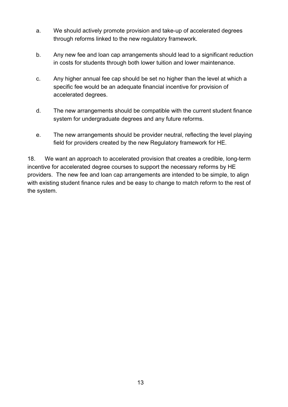- a. We should actively promote provision and take-up of accelerated degrees through reforms linked to the new regulatory framework.
- b. Any new fee and loan cap arrangements should lead to a significant reduction in costs for students through both lower tuition and lower maintenance.
- c. Any higher annual fee cap should be set no higher than the level at which a specific fee would be an adequate financial incentive for provision of accelerated degrees.
- d. The new arrangements should be compatible with the current student finance system for undergraduate degrees and any future reforms.
- e. The new arrangements should be provider neutral, reflecting the level playing field for providers created by the new Regulatory framework for HE.

18. We want an approach to accelerated provision that creates a credible, long-term incentive for accelerated degree courses to support the necessary reforms by HE providers. The new fee and loan cap arrangements are intended to be simple, to align with existing student finance rules and be easy to change to match reform to the rest of the system.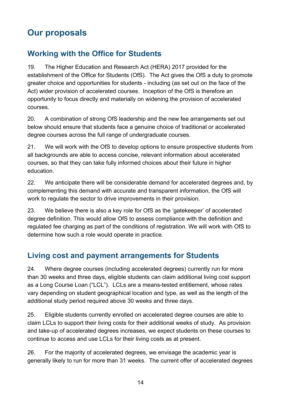# <span id="page-13-0"></span>**Our proposals**

## <span id="page-13-1"></span>**Working with the Office for Students**

19. The Higher Education and Research Act (HERA) 2017 provided for the establishment of the Office for Students (OfS). The Act gives the OfS a duty to promote greater choice and opportunities for students - including (as set out on the face of the Act) wider provision of accelerated courses. Inception of the OfS is therefore an opportunity to focus directly and materially on widening the provision of accelerated courses.

20. A combination of strong OfS leadership and the new fee arrangements set out below should ensure that students face a genuine choice of traditional or accelerated degree courses across the full range of undergraduate courses.

21. We will work with the OfS to develop options to ensure prospective students from all backgrounds are able to access concise, relevant information about accelerated courses, so that they can take fully informed choices about their future in higher education.

22. We anticipate there will be considerable demand for accelerated degrees and, by complementing this demand with accurate and transparent information, the OfS will work to regulate the sector to drive improvements in their provision.

23. We believe there is also a key role for OfS as the 'gatekeeper' of accelerated degree definition. This would allow OfS to assess compliance with the definition and regulated fee charging as part of the conditions of registration. We will work with OfS to determine how such a role would operate in practice.

## <span id="page-13-2"></span>**Living cost and payment arrangements for Students**

24. Where degree courses (including accelerated degrees) currently run for more than 30 weeks and three days, eligible students can claim additional living cost support as a Long Course Loan ("LCL"). LCLs are a means-tested entitlement, whose rates vary depending on student geographical location and type, as well as the length of the additional study period required above 30 weeks and three days.

25. Eligible students currently enrolled on accelerated degree courses are able to claim LCLs to support their living costs for their additional weeks of study. As provision and take-up of accelerated degrees increases, we expect students on these courses to continue to access and use LCLs for their living costs as at present.

26. For the majority of accelerated degrees, we envisage the academic year is generally likely to run for more than 31 weeks. The current offer of accelerated degrees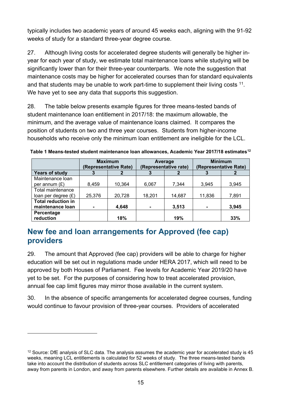typically includes two academic years of around 45 weeks each, aligning with the 91-92 weeks of study for a standard three-year degree course.

27. Although living costs for accelerated degree students will generally be higher inyear for each year of study, we estimate total maintenance loans while studying will be significantly lower than for their three-year counterparts. We note the suggestion that maintenance costs may be higher for accelerated courses than for standard equivalents and that students may be unable to work part-time to supplement their living costs  $11$ . We have yet to see any data that supports this suggestion.

28. The table below presents example figures for three means-tested bands of student maintenance loan entitlement in 2017/18: the maximum allowable, the minimum, and the average value of maintenance loans claimed. It compares the position of students on two and three year courses. Students from higher-income households who receive only the minimum loan entitlement are ineligible for the LCL.

|                                               | <b>Maximum</b><br>(Representative Rate) |        | Average<br>(Representative rate) |        | <b>Minimum</b><br>(Representative Rate) |       |
|-----------------------------------------------|-----------------------------------------|--------|----------------------------------|--------|-----------------------------------------|-------|
| <b>Years of study</b>                         | З                                       |        |                                  |        |                                         |       |
| Maintenance loan                              |                                         |        |                                  |        |                                         |       |
| per annum $(E)$                               | 8,459                                   | 10,364 | 6.067                            | 7,344  | 3.945                                   | 3,945 |
| Total maintenance                             |                                         |        |                                  |        |                                         |       |
| loan per degree $(E)$                         | 25.376                                  | 20,728 | 18.201                           | 14,687 | 11,836                                  | 7,891 |
| <b>Total reduction in</b><br>maintenance loan | ۰                                       | 4,648  | ۰                                | 3,513  |                                         | 3,945 |
| Percentage<br>reduction                       |                                         | 18%    |                                  | 19%    |                                         | 33%   |

**Table 1 Means-tested student maintenance loan allowances, Academic Year 2017/18 estimate[s12](#page-14-1)**

## <span id="page-14-0"></span>**New fee and loan arrangements for Approved (fee cap) providers**

29. The amount that Approved (fee cap) providers will be able to charge for higher education will be set out in regulations made under HERA 2017, which will need to be approved by both Houses of Parliament. Fee levels for Academic Year 2019/20 have yet to be set. For the purposes of considering how to treat accelerated provision, annual fee cap limit figures may mirror those available in the current system.

30. In the absence of specific arrangements for accelerated degree courses, funding would continue to favour provision of three-year courses. Providers of accelerated

 $\overline{a}$ 

<span id="page-14-1"></span> $12$  Source: DfE analysis of SLC data. The analysis assumes the academic year for accelerated study is 45 weeks, meaning LCL entitlements is calculated for 52 weeks of study. The three means-tested bands take into account the distribution of students across SLC entitlement categories of living with parents, away from parents in London, and away from parents elsewhere. Further details are available in Annex B.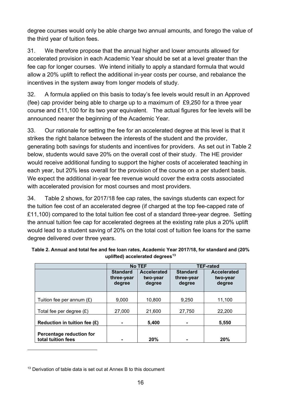degree courses would only be able charge two annual amounts, and forego the value of the third year of tuition fees.

31. We therefore propose that the annual higher and lower amounts allowed for accelerated provision in each Academic Year should be set at a level greater than the fee cap for longer courses. We intend initially to apply a standard formula that would allow a 20% uplift to reflect the additional in-year costs per course, and rebalance the incentives in the system away from longer models of study.

32. A formula applied on this basis to today's fee levels would result in an Approved (fee) cap provider being able to charge up to a maximum of £9,250 for a three year course and £11,100 for its two year equivalent. The actual figures for fee levels will be announced nearer the beginning of the Academic Year.

33. Our rationale for setting the fee for an accelerated degree at this level is that it strikes the right balance between the interests of the student and the provider, generating both savings for students and incentives for providers. As set out in Table 2 below, students would save 20% on the overall cost of their study. The HE provider would receive additional funding to support the higher costs of accelerated teaching in each year, but 20% less overall for the provision of the course on a per student basis. We expect the additional in-year fee revenue would cover the extra costs associated with accelerated provision for most courses and most providers.

34. Table 2 shows, for 2017/18 fee cap rates, the savings students can expect for the tuition fee cost of an accelerated degree (if charged at the top fee-capped rate of £11,100) compared to the total tuition fee cost of a standard three-year degree. Setting the annual tuition fee cap for accelerated degrees at the existing rate plus a 20% uplift would lead to a student saving of 20% on the total cost of tuition fee loans for the same degree delivered over three years.

<span id="page-15-1"></span>

|                                                |                                         | <b>No TEF</b>                            | <b>TEF-rated</b>                        |                                          |  |
|------------------------------------------------|-----------------------------------------|------------------------------------------|-----------------------------------------|------------------------------------------|--|
|                                                | <b>Standard</b><br>three-year<br>degree | <b>Accelerated</b><br>two-year<br>degree | <b>Standard</b><br>three-year<br>degree | <b>Accelerated</b><br>two-year<br>degree |  |
| Tuition fee per annum $(E)$                    | 9,000                                   | 10,800                                   | 9,250                                   | 11,100                                   |  |
| Total fee per degree $(E)$                     | 27,000                                  | 21,600                                   | 27,750                                  | 22,200                                   |  |
| Reduction in tuition fee $(E)$                 |                                         | 5,400                                    |                                         | 5,550                                    |  |
| Percentage reduction for<br>total tuition fees |                                         | 20%                                      |                                         | 20%                                      |  |

**Table 2. Annual and total fee and fee loan rates, Academic Year 2017/18, for standard and (20% uplifted) accelerated degrees[13](#page-15-0)**

 $\overline{a}$ 

<span id="page-15-0"></span> $13$  Derivation of table data is set out at Annex B to this document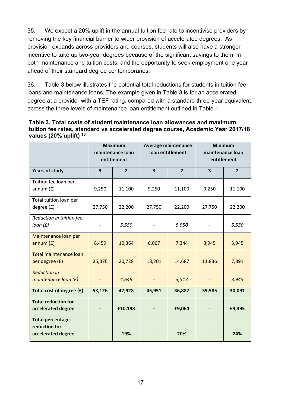35. We expect a 20% uplift in the annual tuition fee rate to incentivise providers by removing the key financial barrier to wider provision of accelerated degrees. As provision expands across providers and courses, students will also have a stronger incentive to take up two-year degrees because of the significant savings to them, in both maintenance and tuition costs, and the opportunity to seek employment one year ahead of their standard degree contemporaries.

36. Table 3 below illustrates the potential total reductions for students in tuition fee loans and maintenance loans. The example given in Table 3 is for an accelerated degree at a provider with a TEF rating, compared with a standard three-year equivalent, across the three levels of maintenance loan entitlement outlined in Table 1.

| Table 3. Total costs of student maintenance loan allowances and maximum         |
|---------------------------------------------------------------------------------|
| tuition fee rates, standard vs accelerated degree course, Academic Year 2017/18 |
| values (20% uplift) $^{13}$                                                     |

|                                                                | <b>Maximum</b><br>maintenance loan<br>entitlement |                | Average maintenance<br>loan entitlement |                | <b>Minimum</b><br>maintenance loan<br>entitlement |                |
|----------------------------------------------------------------|---------------------------------------------------|----------------|-----------------------------------------|----------------|---------------------------------------------------|----------------|
| <b>Years of study</b>                                          | 3                                                 | $\overline{2}$ | 3                                       | $\overline{2}$ | $\overline{\mathbf{3}}$                           | $\overline{2}$ |
| Tuition fee loan per<br>annum $(f)$                            | 9,250                                             | 11,100         | 9,250                                   | 11,100         | 9,250                                             | 11,100         |
| Total tuition loan per<br>degree (£)                           | 27,750                                            | 22,200         | 27,750                                  | 22,200         | 27,750                                            | 22,200         |
| Reduction in tuition fee<br>loan(f)                            |                                                   | 5,550          |                                         | 5,550          | $\overline{\phantom{a}}$                          | 5,550          |
| Maintenance loan per<br>annum(f)                               | 8,459                                             | 10,364         | 6,067                                   | 7,344          | 3,945                                             | 3,945          |
| <b>Total maintenance loan</b><br>per degree (£)                | 25,376                                            | 20,728         | 18,201                                  | 14,687         | 11,836                                            | 7,891          |
| <b>Reduction in</b><br>maintenance $loan(E)$                   |                                                   | 4,648          |                                         | 3,513          | $\qquad \qquad -$                                 | 3,945          |
| Total cost of degree (£)                                       | 53,126                                            | 42,928         | 45,951                                  | 36,887         | 39,585                                            | 30,091         |
| <b>Total reduction for</b><br>accelerated degree               |                                                   | £10,198        |                                         | £9,064         |                                                   | £9,495         |
| <b>Total percentage</b><br>reduction for<br>accelerated degree |                                                   | 19%            |                                         | 20%            |                                                   | 24%            |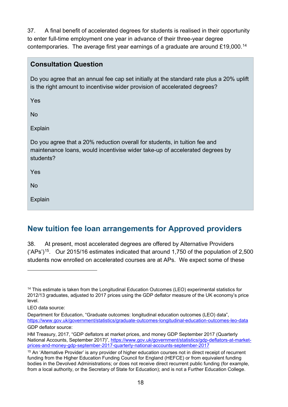37. A final benefit of accelerated degrees for students is realised in their opportunity to enter full-time employment one year in advance of their three-year degree contemporaries. The average first year earnings of a graduate are around £19,000.[14](#page-17-0)

#### **Consultation Question**

Do you agree that an annual fee cap set initially at the standard rate plus a 20% uplift is the right amount to incentivise wider provision of accelerated degrees?

Yes

No

Explain

Do you agree that a 20% reduction overall for students, in tuition fee and maintenance loans, would incentivise wider take-up of accelerated degrees by students?

Yes

No

 $\overline{a}$ 

Explain

## **New tuition fee loan arrangements for Approved providers**

38. At present, most accelerated degrees are offered by Alternative Providers  $(4P<sub>S</sub>)<sup>15</sup>$  $(4P<sub>S</sub>)<sup>15</sup>$  $(4P<sub>S</sub>)<sup>15</sup>$ . Our 2015/16 estimates indicated that around 1,750 of the population of 2,500 students now enrolled on accelerated courses are at APs. We expect some of these

<span id="page-17-0"></span><sup>&</sup>lt;sup>14</sup> This estimate is taken from the Longitudinal Education Outcomes (LEO) experimental statistics for 2012/13 graduates, adjusted to 2017 prices using the GDP deflator measure of the UK economy's price level.

LEO data source:

Department for Education, "Graduate outcomes: longitudinal education outcomes (LEO) data", <https://www.gov.uk/government/statistics/graduate-outcomes-longitudinal-education-outcomes-leo-data> GDP deflator source:

HM Treasury, 2017, "GDP deflators at market prices, and money GDP September 2017 (Quarterly National Accounts, September 2017)", [https://www.gov.uk/government/statistics/gdp-deflators-at-market](https://www.gov.uk/government/statistics/gdp-deflators-at-market-prices-and-money-gdp-september-2017-quarterly-national-accounts-september-2017)[prices-and-money-gdp-september-2017-quarterly-national-accounts-september-2017](https://www.gov.uk/government/statistics/gdp-deflators-at-market-prices-and-money-gdp-september-2017-quarterly-national-accounts-september-2017)

<span id="page-17-1"></span><sup>&</sup>lt;sup>15</sup> An 'Alternative Provider' is any provider of higher education courses not in direct receipt of recurrent funding from the Higher Education Funding Council for England (HEFCE) or from equivalent funding bodies in the Devolved Administrations; or does not receive direct recurrent public funding (for example, from a local authority, or the Secretary of State for Education); and is not a Further Education College.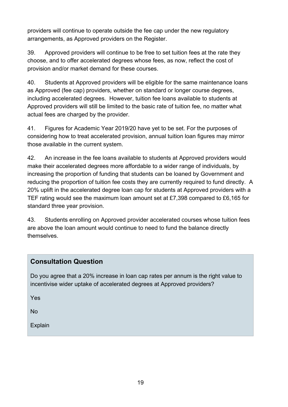providers will continue to operate outside the fee cap under the new regulatory arrangements, as Approved providers on the Register.

39. Approved providers will continue to be free to set tuition fees at the rate they choose, and to offer accelerated degrees whose fees, as now, reflect the cost of provision and/or market demand for these courses.

40. Students at Approved providers will be eligible for the same maintenance loans as Approved (fee cap) providers, whether on standard or longer course degrees, including accelerated degrees. However, tuition fee loans available to students at Approved providers will still be limited to the basic rate of tuition fee, no matter what actual fees are charged by the provider.

41. Figures for Academic Year 2019/20 have yet to be set. For the purposes of considering how to treat accelerated provision, annual tuition loan figures may mirror those available in the current system.

42. An increase in the fee loans available to students at Approved providers would make their accelerated degrees more affordable to a wider range of individuals, by increasing the proportion of funding that students can be loaned by Government and reducing the proportion of tuition fee costs they are currently required to fund directly. A 20% uplift in the accelerated degree loan cap for students at Approved providers with a TEF rating would see the maximum loan amount set at £7,398 compared to £6,165 for standard three year provision.

43. Students enrolling on Approved provider accelerated courses whose tuition fees are above the loan amount would continue to need to fund the balance directly themselves.

#### **Consultation Question**

Do you agree that a 20% increase in loan cap rates per annum is the right value to incentivise wider uptake of accelerated degrees at Approved providers?

Yes

No

Explain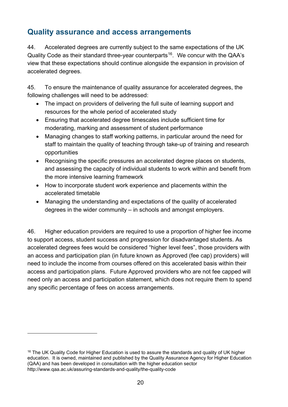## **Quality assurance and access arrangements**

44. Accelerated degrees are currently subject to the same expectations of the UK Quality Code as their standard three-year counterparts<sup>[16](#page-19-0)</sup>. We concur with the QAA's view that these expectations should continue alongside the expansion in provision of accelerated degrees.

45. To ensure the maintenance of quality assurance for accelerated degrees, the following challenges will need to be addressed:

- The impact on providers of delivering the full suite of learning support and resources for the whole period of accelerated study
- Ensuring that accelerated degree timescales include sufficient time for moderating, marking and assessment of student performance
- Managing changes to staff working patterns, in particular around the need for staff to maintain the quality of teaching through take-up of training and research opportunities
- Recognising the specific pressures an accelerated degree places on students, and assessing the capacity of individual students to work within and benefit from the more intensive learning framework
- How to incorporate student work experience and placements within the accelerated timetable
- Managing the understanding and expectations of the quality of accelerated degrees in the wider community – in schools and amongst employers.

46. Higher education providers are required to use a proportion of higher fee income to support access, student success and progression for disadvantaged students. As accelerated degrees fees would be considered "higher level fees", those providers with an access and participation plan (in future known as Approved (fee cap) providers) will need to include the income from courses offered on this accelerated basis within their access and participation plans. Future Approved providers who are not fee capped will need only an access and participation statement, which does not require them to spend any specific percentage of fees on access arrangements.

 $\overline{a}$ 

<span id="page-19-0"></span><sup>&</sup>lt;sup>16</sup> The UK Quality Code for Higher Education is used to assure the standards and quality of UK higher education. It is owned, maintained and published by the Quality Assurance Agency for Higher Education (QAA) and has been developed in consultation with the higher education sector http://www.qaa.ac.uk/assuring-standards-and-quality/the-quality-code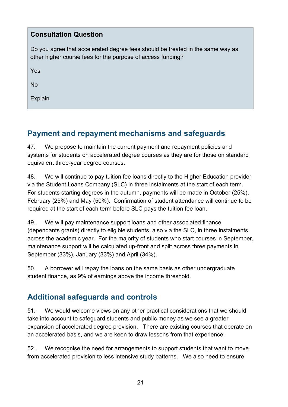| <b>Consultation Question</b>                                                                                                                  |
|-----------------------------------------------------------------------------------------------------------------------------------------------|
| Do you agree that accelerated degree fees should be treated in the same way as<br>other higher course fees for the purpose of access funding? |
| Yes                                                                                                                                           |
| <b>No</b>                                                                                                                                     |
| Explain                                                                                                                                       |
|                                                                                                                                               |

## <span id="page-20-0"></span>**Payment and repayment mechanisms and safeguards**

47. We propose to maintain the current payment and repayment policies and systems for students on accelerated degree courses as they are for those on standard equivalent three-year degree courses.

48. We will continue to pay tuition fee loans directly to the Higher Education provider via the Student Loans Company (SLC) in three instalments at the start of each term. For students starting degrees in the autumn, payments will be made in October (25%), February (25%) and May (50%). Confirmation of student attendance will continue to be required at the start of each term before SLC pays the tuition fee loan.

49. We will pay maintenance support loans and other associated finance (dependants grants) directly to eligible students, also via the SLC, in three instalments across the academic year. For the majority of students who start courses in September, maintenance support will be calculated up-front and split across three payments in September (33%), January (33%) and April (34%).

50. A borrower will repay the loans on the same basis as other undergraduate student finance, as 9% of earnings above the income threshold.

## <span id="page-20-1"></span>**Additional safeguards and controls**

51. We would welcome views on any other practical considerations that we should take into account to safeguard students and public money as we see a greater expansion of accelerated degree provision. There are existing courses that operate on an accelerated basis, and we are keen to draw lessons from that experience.

52. We recognise the need for arrangements to support students that want to move from accelerated provision to less intensive study patterns. We also need to ensure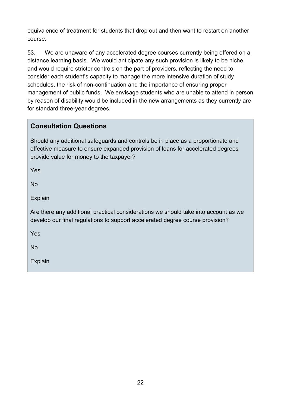equivalence of treatment for students that drop out and then want to restart on another course.

53. We are unaware of any accelerated degree courses currently being offered on a distance learning basis. We would anticipate any such provision is likely to be niche, and would require stricter controls on the part of providers, reflecting the need to consider each student's capacity to manage the more intensive duration of study schedules, the risk of non-continuation and the importance of ensuring proper management of public funds. We envisage students who are unable to attend in person by reason of disability would be included in the new arrangements as they currently are for standard three-year degrees.

#### **Consultation Questions**

Should any additional safeguards and controls be in place as a proportionate and effective measure to ensure expanded provision of loans for accelerated degrees provide value for money to the taxpayer?

Yes

No

Explain

Are there any additional practical considerations we should take into account as we develop our final regulations to support accelerated degree course provision?

Yes

No

Explain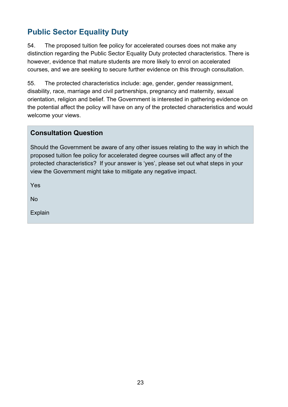## <span id="page-22-0"></span>**Public Sector Equality Duty**

54. The proposed tuition fee policy for accelerated courses does not make any distinction regarding the Public Sector Equality Duty protected characteristics. There is however, evidence that mature students are more likely to enrol on accelerated courses, and we are seeking to secure further evidence on this through consultation.

55. The protected characteristics include: age, gender, gender reassignment, disability, race, marriage and civil partnerships, pregnancy and maternity, sexual orientation, religion and belief. The Government is interested in gathering evidence on the potential affect the policy will have on any of the protected characteristics and would welcome your views.

#### **Consultation Question**

Should the Government be aware of any other issues relating to the way in which the proposed tuition fee policy for accelerated degree courses will affect any of the protected characteristics? If your answer is 'yes', please set out what steps in your view the Government might take to mitigate any negative impact.

Yes

No

Explain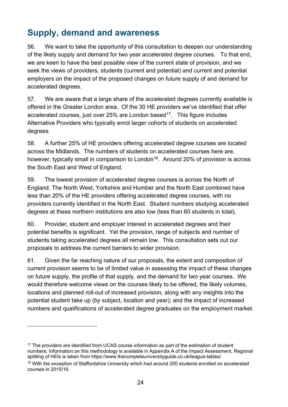# <span id="page-23-0"></span>**Supply, demand and awareness**

56. We want to take the opportunity of this consultation to deepen our understanding of the likely supply and demand for two year accelerated degree courses. To that end, we are keen to have the best possible view of the current state of provision, and we seek the views of providers, students (current and potential) and current and potential employers on the impact of the proposed changes on future supply of and demand for accelerated degrees.

57. We are aware that a large share of the accelerated degrees currently available is offered in the Greater London area. Of the 30 HE providers we've identified that offer accelerated courses, just over 25% are London based<sup>17</sup>. This figure includes Alternative Providers who typically enrol larger cohorts of students on accelerated degrees.

58. A further 25% of HE providers offering accelerated degree courses are located across the Midlands. The numbers of students on accelerated courses here are, however, typically small in comparison to London<sup>18</sup>. Around 20% of provision is across the South East and West of England.

59. The lowest provision of accelerated degree courses is across the North of England. The North West, Yorkshire and Humber and the North East combined have less than 20% of the HE providers offering accelerated degree courses, with no providers currently identified in the North East. Student numbers studying accelerated degrees at these northern institutions are also low (less than 60 students in total).

60. Provider, student and employer interest in accelerated degrees and their potential benefits is significant. Yet the provision, range of subjects and number of students taking accelerated degrees all remain low. This consultation sets out our proposals to address the current barriers to wider provision.

61. Given the far reaching nature of our proposals, the extent and composition of current provision seems to be of limited value in assessing the impact of these changes on future supply, the profile of that supply, and the demand for two year courses. We would therefore welcome views on the courses likely to be offered, the likely volumes, locations and planned roll-out of increased provision, along with any insights into the potential student take up (by subject, location and year); and the impact of increased numbers and qualifications of accelerated degree graduates on the employment market.

<span id="page-23-2"></span><span id="page-23-1"></span><sup>17</sup> The providers are identified from UCAS course information as part of the estimation of student numbers. Information on this methodology is available in Appendix A of the Impact Assessment. Regional splitting of HEIs is taken from https://www.thecompleteuniversityguide.co.uk/league-tables/ <sup>18</sup> With the exception of Staffordshire University which had around 200 students enrolled on accelerated courses in 2015/16.

 $\overline{a}$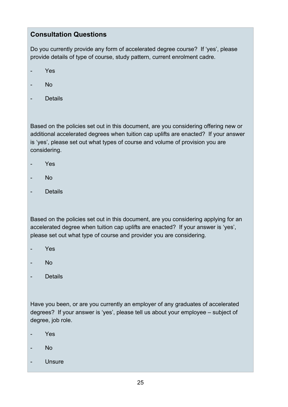#### **Consultation Questions**

Do you currently provide any form of accelerated degree course? If 'yes', please provide details of type of course, study pattern, current enrolment cadre.

- Yes
- No
- Details

Based on the policies set out in this document, are you considering offering new or additional accelerated degrees when tuition cap uplifts are enacted? If your answer is 'yes', please set out what types of course and volume of provision you are considering.

- Yes
- No
- Details

Based on the policies set out in this document, are you considering applying for an accelerated degree when tuition cap uplifts are enacted? If your answer is 'yes', please set out what type of course and provider you are considering.

- Yes
- No
- Details

Have you been, or are you currently an employer of any graduates of accelerated degrees? If your answer is 'yes', please tell us about your employee – subject of degree, job role.

- Yes
- No
- Unsure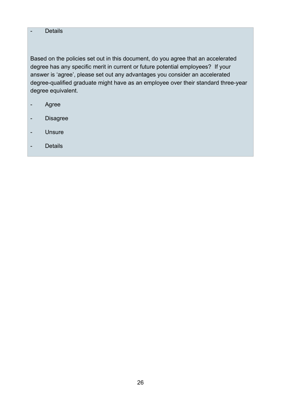#### - Details

Based on the policies set out in this document, do you agree that an accelerated degree has any specific merit in current or future potential employees? If your answer is 'agree', please set out any advantages you consider an accelerated degree-qualified graduate might have as an employee over their standard three-year degree equivalent.

- Agree
- Disagree
- Unsure
- Details